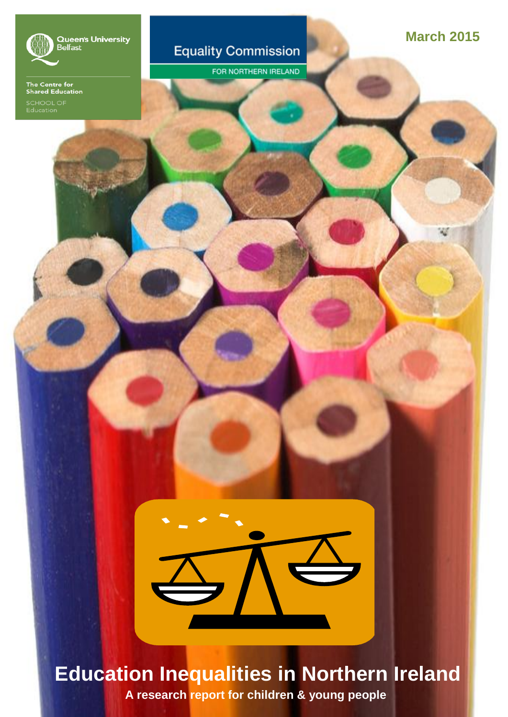

Queen's University<br>Belfast

The Centre for<br>Shared Education

#### **Equality Commission**

FOR NORTHERN IRELAND

**March 2015**

## **Education Inequalities in Northern Ireland**

**A research report for children & young people**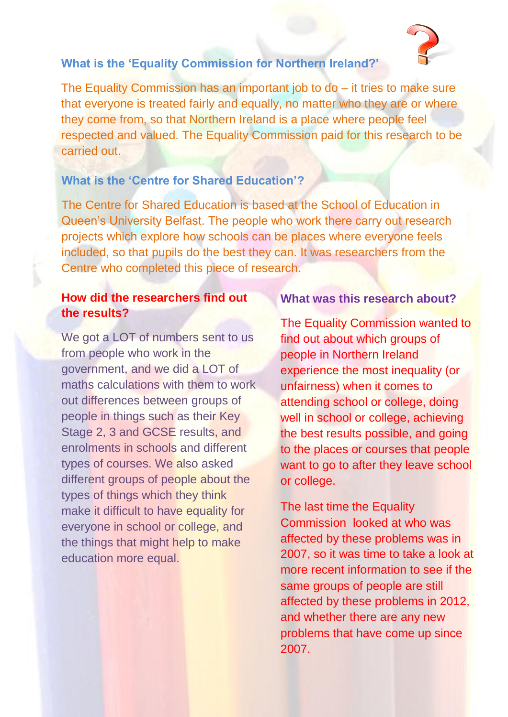#### **What is the 'Equality Commission for Northern Ireland?'**

The Equality Commission has an important job to do – it tries to make sure that everyone is treated fairly and equally, no matter who they are or where they come from, so that Northern Ireland is a place where people feel respected and valued. The Equality Commission paid for this research to be carried out.

#### **What is the 'Centre for Shared Education'?**

The Centre for Shared Education is based at the School of Education in Queen's University Belfast. The people who work there carry out research projects which explore how schools can be places where everyone feels included, so that pupils do the best they can. It was researchers from the Centre who completed this piece of research.

#### **How did the researchers find out the results?**

We got a LOT of numbers sent to us from people who work in the government, and we did a LOT of maths calculations with them to work out differences between groups of people in things such as their Key Stage 2, 3 and GCSE results, and enrolments in schools and different types of courses. We also asked different groups of people about the types of things which they think make it difficult to have equality for everyone in school or college, and the things that might help to make education more equal.

#### **What was this research about?**

The Equality Commission wanted to find out about which groups of people in Northern Ireland experience the most inequality (or unfairness) when it comes to attending school or college, doing well in school or college, achieving the best results possible, and going to the places or courses that people want to go to after they leave school or college.

The last time the Equality Commission looked at who was affected by these problems was in 2007, so it was time to take a look at more recent information to see if the same groups of people are still affected by these problems in 2012, and whether there are any new problems that have come up since 2007.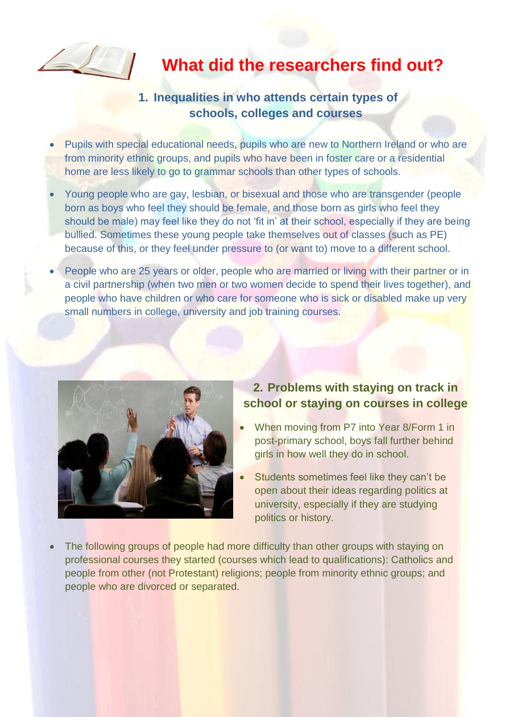

### **What did the researchers find out?**

#### **1. Inequalities in who attends certain types of schools, colleges and courses**

- Pupils with special educational needs, pupils who are new to Northern Ireland or who are from minority ethnic groups, and pupils who have been in foster care or a residential home are less likely to go to grammar schools than other types of schools.
- Young people who are gay, lesbian, or bisexual and those who are transgender (people born as boys who feel they should be female, and those born as girls who feel they should be male) may feel like they do not 'fit in' at their school, especially if they are being bullied. Sometimes these young people take themselves out of classes (such as PE) because of this, or they feel under pressure to (or want to) move to a different school.
- People who are 25 years or older, people who are married or living with their partner or in a civil partnership (when two men or two women decide to spend their lives together), and people who have children or who care for someone who is sick or disabled make up very small numbers in college, university and job training courses.



#### **2. Problems with staying on track in school or staying on courses in college**

- When moving from P7 into Year 8/Form 1 in post-primary school, boys fall further behind girls in how well they do in school.
- Students sometimes feel like they can't be open about their ideas regarding politics at university, especially if they are studying politics or history.
- The following groups of people had more difficulty than other groups with staying on professional courses they started (courses which lead to qualifications): Catholics and people from other (not Protestant) religions; people from minority ethnic groups; and people who are divorced or separated.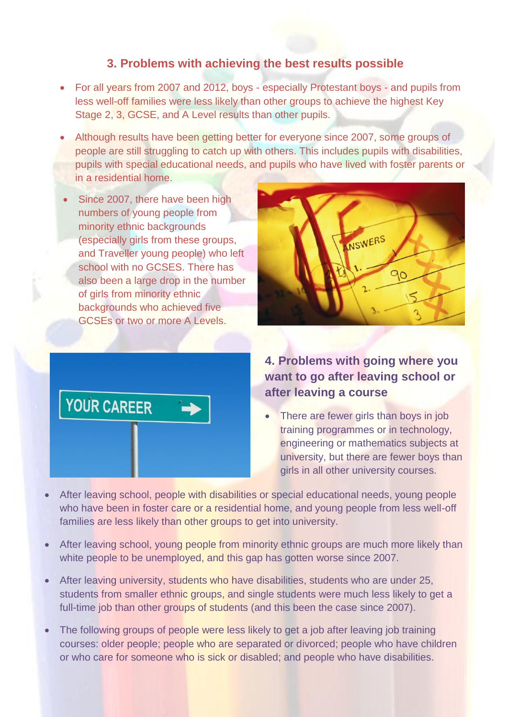#### **3. Problems with achieving the best results possible**

- For all years from 2007 and 2012, boys especially Protestant boys and pupils from less well-off families were less likely than other groups to achieve the highest Key Stage 2, 3, GCSE, and A Level results than other pupils.
- Although results have been getting better for everyone since 2007, some groups of people are still struggling to catch up with others. This includes pupils with disabilities, pupils with special educational needs, and pupils who have lived with foster parents or in a residential home.
- Since 2007, there have been high numbers of young people from minority ethnic backgrounds (especially girls from these groups, and Traveller young people) who left school with no GCSES. There has also been a large drop in the number of girls from minority ethnic backgrounds who achieved five GCSEs or two or more A Levels.





#### **4. Problems with going where you want to go after leaving school or after leaving a course**

- There are fewer girls than boys in job training programmes or in technology, engineering or mathematics subjects at university, but there are fewer boys than girls in all other university courses.
- After leaving school, people with disabilities or special educational needs, young people who have been in foster care or a residential home, and young people from less well-off families are less likely than other groups to get into university.
- After leaving school, young people from minority ethnic groups are much more likely than white people to be unemployed, and this gap has gotten worse since 2007.
- After leaving university, students who have disabilities, students who are under 25, students from smaller ethnic groups, and single students were much less likely to get a full-time job than other groups of students (and this been the case since 2007).
- The following groups of people were less likely to get a job after leaving job training courses: older people; people who are separated or divorced; people who have children or who care for someone who is sick or disabled; and people who have disabilities.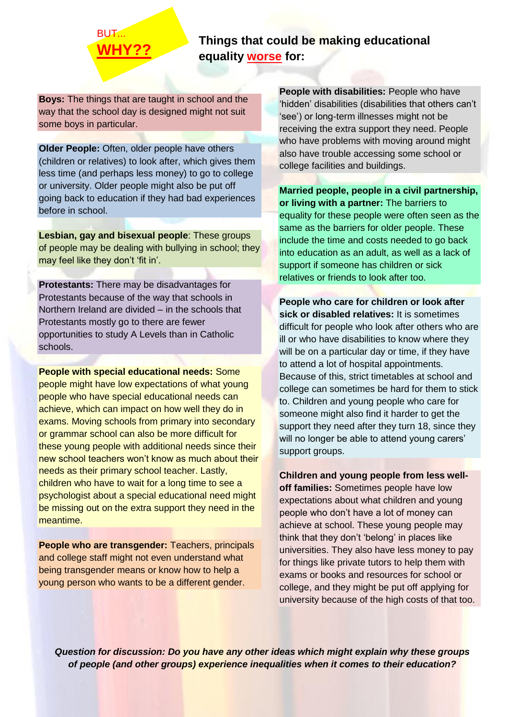# **BUT.**

#### **WHY?? Things that could be making educational equality worse for:**

**Boys:** The things that are taught in school and the way that the school day is designed might not suit some boys in particular.

**Older People:** Often, older people have others (children or relatives) to look after, which gives them less time (and perhaps less money) to go to college or university. Older people might also be put off going back to education if they had bad experiences before in school.

**Lesbian, gay and bisexual people**: These groups of people may be dealing with bullying in school; they may feel like they don't 'fit in'.

**Protestants:** There may be disadvantages for Protestants because of the way that schools in Northern Ireland are divided – in the schools that Protestants mostly go to there are fewer opportunities to study A Levels than in Catholic schools.

**People with special educational needs:** Some people might have low expectations of what young people who have special educational needs can achieve, which can impact on how well they do in exams. Moving schools from primary into secondary or grammar school can also be more difficult for these young people with additional needs since their new school teachers won't know as much about their needs as their primary school teacher. Lastly, children who have to wait for a long time to see a psychologist about a special educational need might be missing out on the extra support they need in the meantime.

**People who are transgender:** Teachers, principals and college staff might not even understand what being transgender means or know how to help a young person who wants to be a different gender.

**People with disabilities: People who have** 'hidden' disabilities (disabilities that others can't 'see') or long-term illnesses might not be receiving the extra support they need. People who have problems with moving around might also have trouble accessing some school or college facilities and buildings.

**Married people, people in a civil partnership, or living with a partner:** The barriers to equality for these people were often seen as the same as the barriers for older people. These include the time and costs needed to go back into education as an adult, as well as a lack of support if someone has children or sick relatives or friends to look after too.

**People who care for children or look after sick or disabled relatives:** It is sometimes difficult for people who look after others who are ill or who have disabilities to know where they will be on a particular day or time, if they have to attend a lot of hospital appointments. Because of this, strict timetables at school and college can sometimes be hard for them to stick to. Children and young people who care for someone might also find it harder to get the support they need after they turn 18, since they will no longer be able to attend young carers' support groups.

**Children and young people from less welloff families:** Sometimes people have low expectations about what children and young people who don't have a lot of money can achieve at school. These young people may think that they don't 'belong' in places like universities. They also have less money to pay for things like private tutors to help them with exams or books and resources for school or college, and they might be put off applying for university because of the high costs of that too.

*Question for discussion: Do you have any other ideas which might explain why these groups of people (and other groups) experience inequalities when it comes to their education?*